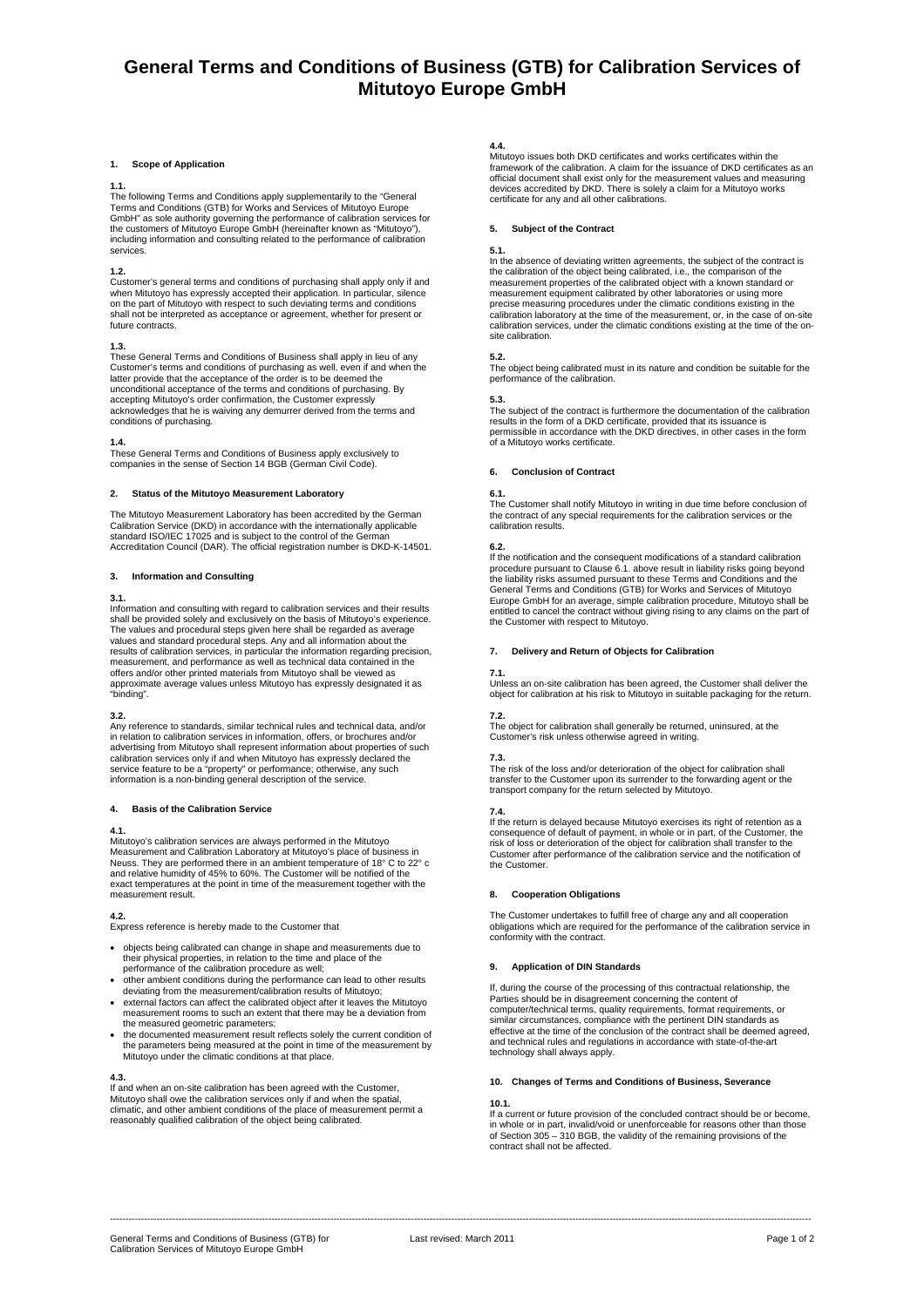# **General Terms and Conditions of Business (GTB) for Calibration Services of Mitutoyo Europe GmbH**

### **1. Scope of Application**

### **1.1.**

The following Terms and Conditions apply supplementarily to the "General<br>Terms and Conditions (GTB) for Works and Services of Mitutoyo Europe<br>GmbH" as sole authority governing the performance of calibration services for the customers of Mitutoyo Europe GmbH (hereinafter known as "Mitutoyo"), including information and consulting related to the performance of calibration services.

### **1.2.**

Customer's general terms and conditions of purchasing shall apply only if and when Mitutoyo has expressly accepted their application. In particular, silence<br>on the part of Mitutoyo with respect to such deviating terms and conditions<br>shall not be interpreted as acceptance or agreement, whether for pr future contracts.

**1.3.**<br>These General Terms and Conditions of Business shall apply in lieu of any Customer's terms and conditions of purchasing as well, even if and when the latter provide that the acceptance of the order is to be deemed the unconditional acceptance of the terms and conditions of purchasing. By accepting Mitutoyo's order confirmation, the Customer expressly acknowledges that he is waiving any demurrer derived from the terms and conditions of purchasing.

**1.4.**  These General Terms and Conditions of Business apply exclusively to companies in the sense of Section 14 BGB (German Civil Code).

### **2. Status of the Mitutoyo Measurement Laboratory**

The Mitutoyo Measurement Laboratory has been accredited by the German Calibration Service (DKD) in accordance with the internationally applicable standard ISO/IEC 17025 and is subject to the control of the German Accreditation Council (DAR). The official registration number is DKD-K-14501.

# **3. Information and Consulting**

### **3.1.**

Information and consulting with regard to calibration services and their results shall be provided solely and exclusively on the basis of Mitutoyo's experience. The values and procedural steps given here shall be regarded as average values and standard procedural steps. Any and all information about the results of calibration services, in particular the information regarding precision,<br>measurement, and performance as well as technical data contained in the<br>offers and/or other printed materials from Mitutoyo shall be viewe approximate average values unless Mitutoyo has expressly designated it as "binding".

### **3.2.**

Any reference to standards, similar technical rules and technical data, and/or in relation to calibration services in information, offers, or brochures and/or advertising from Mitutoyo shall represent information about properties of such calibration services only if and when Mitutoyo has expressly declared the service feature to be a "property" or performance; otherwise, any such information is a non-binding general description of the service.

### **4. Basis of the Calibration Service**

# **4.1.**

Mitutoyo's calibration services are always performed in the Mitutoyo Measurement and Calibration Laboratory at Mitutoyo's place of business in Neuss. They are performed there in an ambient temperature of 18° C to 22° c and relative humidity of 45% to 60%. The Customer will be notified of the exact temperatures at the point in time of the measurement together with the measurement result.

# **4.2.**

Express reference is hereby made to the Customer that

- objects being calibrated can change in shape and measurements due to their physical properties, in relation to the time and place of the performance of the calibration procedure as well;
- 
- other ambient conditions during the performance can lead to other results deviating from the measurement/calibration results of Mitutoyo; • external factors can affect the calibrated object after it leaves the Mitutoyo measurement rooms to such an extent that there may be a deviation from
- the measured geometric parameters; • the documented measurement result reflects solely the current condition of the parameters being measured at the point in time of the measurement by Mitutoyo under the climatic conditions at that place.

**4.3.** 

If and when an on-site calibration has been agreed with the Customer, Mitutoyo shall owe the calibration services only if and when the spatial, climatic, and other ambient conditions of the place of measurement permit a reasonably qualified calibration of the object being calibrated.

**4.4.**  Mitutoyo issues both DKD certificates and works certificates within the framework of the calibration. A claim for the issuance of DKD certificates as an<br>official document shall exist only for the measurement values and measuring<br>devices accredited by DKD. There is solely a claim for a Mitutoyo certificate for any and all other calibrations.

## **5. Subject of the Contract**

## **5.1.**

In the absence of deviating written agreements, the subject of the contract is the calibration of the object being calibrated, i.e., the comparison of the measurement properties of the calibrated object with a known standard or measurement equipment calibrated by other laboratories or using more precise measuring procedures under the climatic conditions existing in the calibration laboratory at the time of the measurement, or, in the case of on-site calibration services, under the climatic conditions existing at the time of the onsite calibration

**5.2.**  The object being calibrated must in its nature and condition be suitable for the performance of the calibration.

**5.3.**  The subject of the contract is furthermore the documentation of the calibration results in the form of a DKD certificate, provided that its issuance is permissible in accordance with the DKD directives, in other cases in the form of a Mitutoyo works certificate.

## **6. Conclusion of Contract**

## **6.1.**

The Customer shall notify Mitutoyo in writing in due time before conclusion of the contract of any special requirements for the calibration services or the calibration results.

**6.2.**  If the notification and the consequent modifications of a standard calibration procedure pursuant to Clause 6.1. above result in liability risks going beyond the liability risks assumed pursuant to these Terms and Conditions and the General Terms and Conditions (GTB) for Works and Services of Mitutoyo Europe GmbH for an average, simple calibration procedure, Mitutoyo shall be entitled to cancel the contract without giving rising to any claims on the part of the Customer with respect to Mitutoyo.

# **7. Delivery and Return of Objects for Calibration**

### **7.1.**

Unless an on-site calibration has been agreed, the Customer shall deliver the object for calibration at his risk to Mitutoyo in suitable packaging for the return.

**7.2.**<br>The object for calibration shall generally be returned, uninsured, at the <br>Customer's risk unless otherwise agreed in writing.

**7.3.**  The risk of the loss and/or deterioration of the object for calibration shall transfer to the Customer upon its surrender to the forwarding agent or the transport company for the return selected by Mitutoyo.

**7.4.**<br>If the return is delayed because Mitutoyo exercises its right of retention as a<br>consequence of default of payment, in whole or in part, of the Customer, the risk of loss or deterioration of the object for calibration shall transfer to the Customer after performance of the calibration service and the notification of the Customer.

# **8. Cooperation Obligations**

The Customer undertakes to fulfill free of charge any and all cooperation obligations which are required for the performance of the calibration service in conformity with the contract.

# **9. Application of DIN Standards**

If, during the course of the processing of this contractual relationship, the Parties should be in disagreement concerning the content of computer/technical terms, quality requirements, format requirements, or similar circumstances, compliance with the pertinent DIN standards as effective at the time of the conclusion of the contract shall be deemed agreed, and technical rules and regulations in accordance with state-of-the-art technology shall always apply.

# **10. Changes of Terms and Conditions of Business, Severance**

### **10.1.**

If a current or future provision of the concluded contract should be or become, in a carrent or ratare provision or the considered contract should be or become<br>in whole or in part, invalid/void or unenforceable for reasons other than those of Section 305 – 310 BGB, the validity of the remaining provisions of the contract shall not be affected.